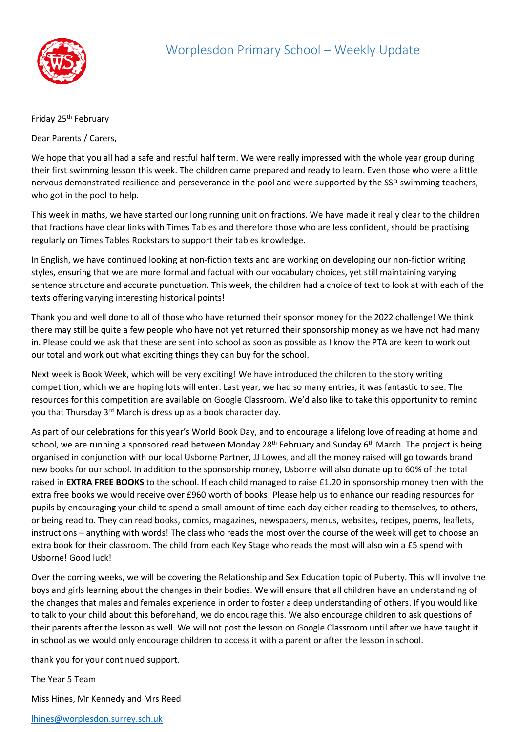

## Friday 25<sup>th</sup> February

Dear Parents / Carers,

We hope that you all had a safe and restful half term. We were really impressed with the whole year group during their first swimming lesson this week. The children came prepared and ready to learn. Even those who were a little nervous demonstrated resilience and perseverance in the pool and were supported by the SSP swimming teachers, who got in the pool to help.

This week in maths, we have started our long running unit on fractions. We have made it really clear to the children that fractions have clear links with Times Tables and therefore those who are less confident, should be practising regularly on Times Tables Rockstars to support their tables knowledge.

In English, we have continued looking at non-fiction texts and are working on developing our non-fiction writing styles, ensuring that we are more formal and factual with our vocabulary choices, yet still maintaining varying sentence structure and accurate punctuation. This week, the children had a choice of text to look at with each of the texts offering varying interesting historical points!

Thank you and well done to all of those who have returned their sponsor money for the 2022 challenge! We think there may still be quite a few people who have not yet returned their sponsorship money as we have not had many in. Please could we ask that these are sent into school as soon as possible as I know the PTA are keen to work out our total and work out what exciting things they can buy for the school.

Next week is Book Week, which will be very exciting! We have introduced the children to the story writing competition, which we are hoping lots will enter. Last year, we had so many entries, it was fantastic to see. The resources for this competition are available on Google Classroom. We'd also like to take this opportunity to remind you that Thursday 3rd March is dress up as a book character day.

As part of our celebrations for this year's World Book Day, and to encourage a lifelong love of reading at home and school, we are running a sponsored read between Monday 28<sup>th</sup> February and Sunday 6<sup>th</sup> March. The project is being organised in conjunction with our local Usborne Partner, JJ Lowes, and all the money raised will go towards brand new books for our school. In addition to the sponsorship money, Usborne will also donate up to 60% of the total raised in **EXTRA FREE BOOKS** to the school. If each child managed to raise £1.20 in sponsorship money then with the extra free books we would receive over £960 worth of books! Please help us to enhance our reading resources for pupils by encouraging your child to spend a small amount of time each day either reading to themselves, to others, or being read to. They can read books, comics, magazines, newspapers, menus, websites, recipes, poems, leaflets, instructions – anything with words! The class who reads the most over the course of the week will get to choose an extra book for their classroom. The child from each Key Stage who reads the most will also win a £5 spend with Usborne! Good luck!

Over the coming weeks, we will be covering the Relationship and Sex Education topic of Puberty. This will involve the boys and girls learning about the changes in their bodies. We will ensure that all children have an understanding of the changes that males and females experience in order to foster a deep understanding of others. If you would like to talk to your child about this beforehand, we do encourage this. We also encourage children to ask questions of their parents after the lesson as well. We will not post the lesson on Google Classroom until after we have taught it in school as we would only encourage children to access it with a parent or after the lesson in school.

thank you for your continued support.

The Year 5 Team

Miss Hines, Mr Kennedy and Mrs Reed

[lhines@worplesdon.surrey.sch.uk](mailto:lhines@worplesdon.surrey.sch.uk)